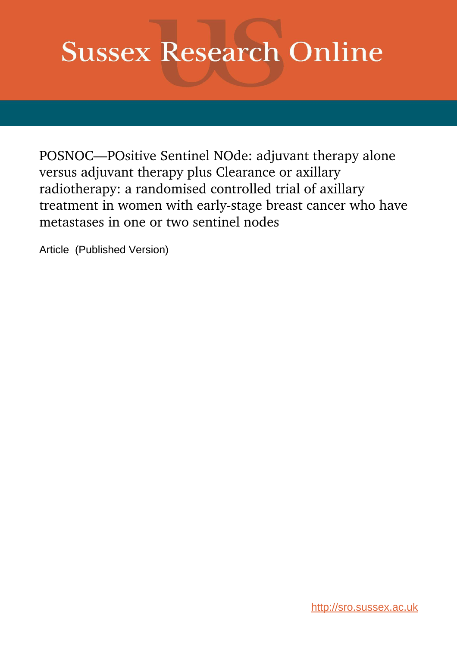# **Sussex Research Online**

POSNOC—POsitive Sentinel NOde: adjuvant therapy alone versus adjuvant therapy plus Clearance or axillary radiotherapy: a randomised controlled trial of axillary treatment in women with early-stage breast cancer who have metastases in one or two sentinel nodes

Article (Published Version)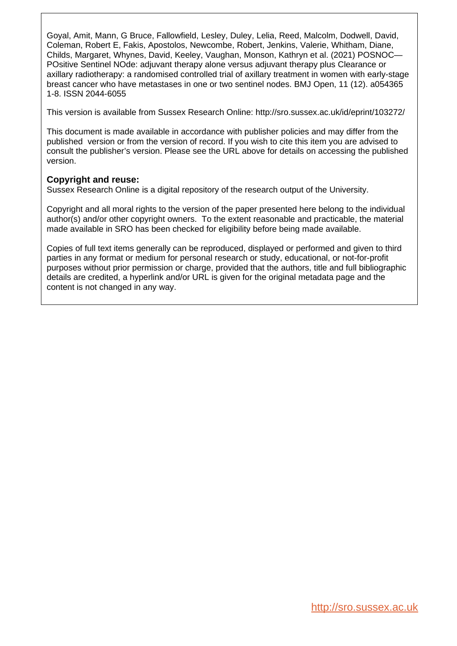Goyal, Amit, Mann, G Bruce, Fallowfield, Lesley, Duley, Lelia, Reed, Malcolm, Dodwell, David, Coleman, Robert E, Fakis, Apostolos, Newcombe, Robert, Jenkins, Valerie, Whitham, Diane, Childs, Margaret, Whynes, David, Keeley, Vaughan, Monson, Kathryn et al. (2021) POSNOC— POsitive Sentinel NOde: adjuvant therapy alone versus adjuvant therapy plus Clearance or axillary radiotherapy: a randomised controlled trial of axillary treatment in women with early-stage breast cancer who have metastases in one or two sentinel nodes. BMJ Open, 11 (12). a054365 1-8. ISSN 2044-6055

This version is available from Sussex Research Online: http://sro.sussex.ac.uk/id/eprint/103272/

This document is made available in accordance with publisher policies and may differ from the published version or from the version of record. If you wish to cite this item you are advised to consult the publisher's version. Please see the URL above for details on accessing the published version.

#### **Copyright and reuse:**

Sussex Research Online is a digital repository of the research output of the University.

Copyright and all moral rights to the version of the paper presented here belong to the individual author(s) and/or other copyright owners. To the extent reasonable and practicable, the material made available in SRO has been checked for eligibility before being made available.

Copies of full text items generally can be reproduced, displayed or performed and given to third parties in any format or medium for personal research or study, educational, or not-for-profit purposes without prior permission or charge, provided that the authors, title and full bibliographic details are credited, a hyperlink and/or URL is given for the original metadata page and the content is not changed in any way.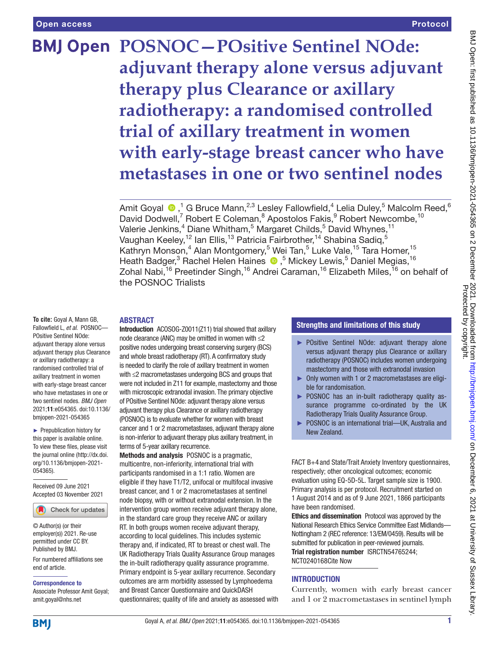## **BMJ Open POSNOC-POsitive Sentinel NOde: adjuvant therapy alone versus adjuvant therapy plus Clearance or axillary radiotherapy: a randomised controlled trial of axillary treatment in women with early-stage breast cancer who have metastases in one or two sentinel nodes**

Amit Goyal  $\bigcirc$ , <sup>1</sup> G Bruce Mann,<sup>2,3</sup> Lesley Fallowfield, <sup>4</sup> Lelia Duley, 5 Malcolm Reed, 6 David Dodwell,<sup>7</sup> Robert E Coleman,<sup>8</sup> Apostolos Fakis,<sup>9</sup> Robert Newcombe,<sup>10</sup> Valerie Jenkins,<sup>4</sup> Diane Whitham,<sup>5</sup> Margaret Childs,<sup>5</sup> David Whynes,<sup>11</sup> Vaughan Keeley, $^{12}$  lan Ellis, $^{13}$  Patricia Fairbrother, $^{14}$  Shabina Sadiq, $^5$ Kathryn Monson,<sup>4</sup> Alan Montgomery,<sup>5</sup> Wei Tan,<sup>5</sup> Luke Vale,<sup>15</sup> Tara Homer,<sup>15</sup> HeathBadger,<sup>3</sup> Rachel Helen Haines (D, <sup>5</sup> Mickey Lewis, 5 Daniel Megias, <sup>16</sup> Zohal Nabi,<sup>16</sup> Preetinder Singh,<sup>16</sup> Andrei Caraman,<sup>16</sup> Elizabeth Miles,<sup>16</sup> on behalf of the POSNOC Trialists

#### ABSTRACT

**To cite:** Goyal A, Mann GB, Fallowfield L, *et al*. POSNOC— POsitive Sentinel NOde: adjuvant therapy alone versus adjuvant therapy plus Clearance or axillary radiotherapy: a randomised controlled trial of axillary treatment in women with early-stage breast cancer who have metastases in one or two sentinel nodes. *BMJ Open* 2021;11:e054365. doi:10.1136/ bmjopen-2021-054365

► Prepublication history for this paper is available online. To view these files, please visit the journal online [\(http://dx.doi.](http://dx.doi.org/10.1136/bmjopen-2021-054365) [org/10.1136/bmjopen-2021-](http://dx.doi.org/10.1136/bmjopen-2021-054365) [054365\)](http://dx.doi.org/10.1136/bmjopen-2021-054365).

Received 09 June 2021 Accepted 03 November 2021

Check for updates

© Author(s) (or their employer(s)) 2021. Re-use permitted under CC BY. Published by BMJ.

For numbered affiliations see end of article.

Correspondence to

Associate Professor Amit Goyal; amit.goyal@nhs.net

Introduction ACOSOG-Z0011(Z11) trial showed that axillary node clearance (ANC) may be omitted in women with ≤2 positive nodes undergoing breast conserving surgery (BCS) and whole breast radiotherapy (RT). A confirmatory study is needed to clarify the role of axillary treatment in women with ≤2 macrometastases undergoing BCS and groups that were not included in Z11 for example, mastectomy and those with microscopic extranodal invasion. The primary objective of POsitive Sentinel NOde: adjuvant therapy alone versus adjuvant therapy plus Clearance or axillary radiotherapy (POSNOC) is to evaluate whether for women with breast cancer and 1 or 2 macrometastases, adjuvant therapy alone is non-inferior to adjuvant therapy plus axillary treatment, in terms of 5-year axillary recurrence.

Methods and analysis POSNOC is a pragmatic, multicentre, non-inferiority, international trial with participants randomised in a 1:1 ratio. Women are eligible if they have T1/T2, unifocal or multifocal invasive breast cancer, and 1 or 2 macrometastases at sentinel node biopsy, with or without extranodal extension. In the intervention group women receive adjuvant therapy alone, in the standard care group they receive ANC or axillary RT. In both groups women receive adjuvant therapy, according to local guidelines. This includes systemic therapy and, if indicated, RT to breast or chest wall. The UK Radiotherapy Trials Quality Assurance Group manages the in-built radiotherapy quality assurance programme. Primary endpoint is 5-year axillary recurrence. Secondary outcomes are arm morbidity assessed by Lymphoedema and Breast Cancer Questionnaire and QuickDASH questionnaires; quality of life and anxiety as assessed with

#### Strengths and limitations of this study

- ► POsitive Sentinel NOde: adjuvant therapy alone versus adjuvant therapy plus Clearance or axillary radiotherapy (POSNOC) includes women undergoing mastectomy and those with extranodal invasion
- ► Only women with 1 or 2 macrometastases are eligible for randomisation.
- ► POSNOC has an in-built radiotherapy quality assurance programme co-ordinated by the UK Radiotherapy Trials Quality Assurance Group.
- POSNOC is an international trial-UK, Australia and New Zealand.

FACT B+4 and State/Trait Anxiety Inventory questionnaires, respectively; other oncological outcomes; economic evaluation using EQ-5D-5L. Target sample size is 1900. Primary analysis is per protocol. Recruitment started on 1 August 2014 and as of 9 June 2021, 1866 participants have been randomised.

Ethics and dissemination Protocol was approved by the National Research Ethics Service Committee East Midlands— Nottingham 2 (REC reference: 13/EM/0459). Results will be submitted for publication in peer-reviewed journals. Trial registration number [ISRCTN54765244;](ISRCTN54765244) [NCT0240168](NCT02401685)Cite Now

#### INTRODUCTION

Currently, women with early breast cancer and 1 or 2 macrometastases in sentinel lymph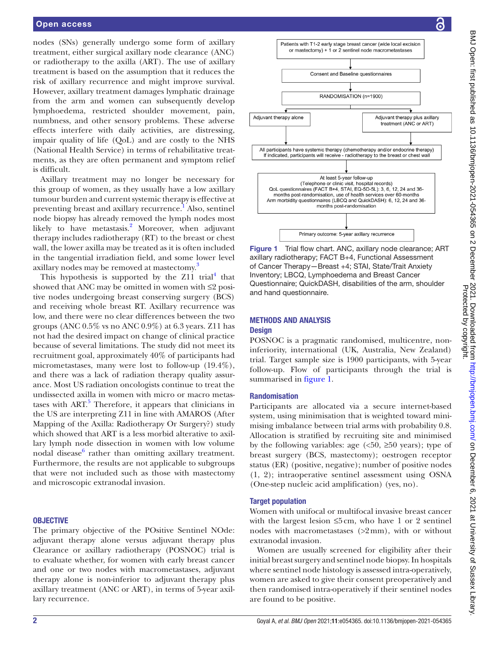nodes (SNs) generally undergo some form of axillary treatment, either surgical axillary node clearance (ANC) or radiotherapy to the axilla (ART). The use of axillary treatment is based on the assumption that it reduces the risk of axillary recurrence and might improve survival. However, axillary treatment damages lymphatic drainage from the arm and women can subsequently develop lymphoedema, restricted shoulder movement, pain, numbness, and other sensory problems. These adverse effects interfere with daily activities, are distressing, impair quality of life (QoL) and are costly to the NHS (National Health Service) in terms of rehabilitative treatments, as they are often permanent and symptom relief is difficult.

Axillary treatment may no longer be necessary for this group of women, as they usually have a low axillary tumour burden and current systemic therapy is effective at preventing breast and axillary recurrence.<sup>[1](#page-8-0)</sup> Also, sentinel node biopsy has already removed the lymph nodes most likely to have metastasis.<sup>2</sup> Moreover, when adjuvant therapy includes radiotherapy (RT) to the breast or chest wall, the lower axilla may be treated as it is often included in the tangential irradiation field, and some lower level axillary nodes may be removed at mastectomy.<sup>[3](#page-8-2)</sup>

This hypothesis is supported by the  $Z11$  trial<sup>4</sup> that showed that ANC may be omitted in women with ≤2 positive nodes undergoing breast conserving surgery (BCS) and receiving whole breast RT. Axillary recurrence was low, and there were no clear differences between the two groups (ANC  $0.5\%$  vs no ANC  $0.9\%$ ) at 6.3 years. Z11 has not had the desired impact on change of clinical practice because of several limitations. The study did not meet its recruitment goal, approximately 40% of participants had micrometastases, many were lost to follow-up (19.4%), and there was a lack of radiation therapy quality assurance. Most US radiation oncologists continue to treat the undissected axilla in women with micro or macro metas-tases with ART.<sup>[5](#page-8-4)</sup> Therefore, it appears that clinicians in the US are interpreting Z11 in line with AMAROS (After Mapping of the Axilla: Radiotherapy Or Surgery?) study which showed that ART is a less morbid alterative to axillary lymph node dissection in women with low volume nodal disease<sup>[6](#page-8-5)</sup> rather than omitting axillary treatment. Furthermore, the results are not applicable to subgroups that were not included such as those with mastectomy and microscopic extranodal invasion.

#### **OBJECTIVE**

The primary objective of the POsitive Sentinel NOde: adjuvant therapy alone versus adjuvant therapy plus Clearance or axillary radiotherapy (POSNOC) trial is to evaluate whether, for women with early breast cancer and one or two nodes with macrometastases, adjuvant therapy alone is non-inferior to adjuvant therapy plus axillary treatment (ANC or ART), in terms of 5-year axillary recurrence.



<span id="page-3-0"></span>Figure 1 Trial flow chart. ANC, axillary node clearance; ART axillary radiotherapy; FACT B+4, Functional Assessment of Cancer Therapy—Breast +4; STAI, State/Trait Anxiety Inventory; LBCQ, Lymphoedema and Breast Cancer Questionnaire; QuickDASH, disabilities of the arm, shoulder and hand questionnaire.

#### METHODS AND ANALYSIS

#### **Design**

POSNOC is a pragmatic randomised, multicentre, noninferiority, international (UK, Australia, New Zealand) trial. Target sample size is 1900 participants, with 5-year follow-up. Flow of participants through the trial is summarised in [figure](#page-3-0) 1.

#### Randomisation

Participants are allocated via a secure internet-based system, using minimisation that is weighted toward minimising imbalance between trial arms with probability 0.8. Allocation is stratified by recruiting site and minimised by the following variables: age  $\langle$  <50,  $\geq$ 50 years); type of breast surgery (BCS, mastectomy); oestrogen receptor status (ER) (positive, negative); number of positive nodes (1, 2); intraoperative sentinel assessment using OSNA (One-step nucleic acid amplification) (yes, no).

#### Target population

Women with unifocal or multifocal invasive breast cancer with the largest lesion  $\leq$ 5 cm, who have 1 or 2 sentinel nodes with macrometastases (>2mm), with or without extranodal invasion.

Women are usually screened for eligibility after their initial breast surgery and sentinel node biopsy. In hospitals where sentinel node histology is assessed intra-operatively, women are asked to give their consent preoperatively and then randomised intra-operatively if their sentinel nodes are found to be positive.

႕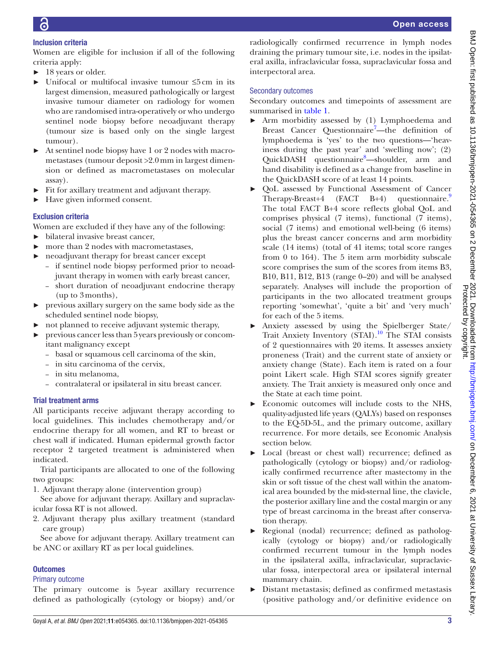#### Inclusion criteria

Women are eligible for inclusion if all of the following criteria apply:

- ► 18 years or older.
- ► Unifocal or multifocal invasive tumour ≤5cm in its largest dimension, measured pathologically or largest invasive tumour diameter on radiology for women who are randomised intra-operatively or who undergo sentinel node biopsy before neoadjuvant therapy (tumour size is based only on the single largest tumour).
- ► At sentinel node biopsy have 1 or 2 nodes with macrometastases (tumour deposit >2.0mm in largest dimension or defined as macrometastases on molecular assay).
- ► Fit for axillary treatment and adjuvant therapy.
- ► Have given informed consent.

#### Exclusion criteria

Women are excluded if they have any of the following:

- ► bilateral invasive breast cancer,
- more than 2 nodes with macrometastases,
- neoadjuvant therapy for breast cancer except
	- if sentinel node biopsy performed prior to neoadjuvant therapy in women with early breast cancer,
	- short duration of neoadjuvant endocrine therapy (up to 3months),
- ► previous axillary surgery on the same body side as the scheduled sentinel node biopsy,
- ► not planned to receive adjuvant systemic therapy,
- ► previous cancer less than 5years previously or concomitant malignancy except
	- basal or squamous cell carcinoma of the skin,
	- in situ carcinoma of the cervix,
	- in situ melanoma,
	- contralateral or ipsilateral in situ breast cancer.

#### Trial treatment arms

All participants receive adjuvant therapy according to local guidelines. This includes chemotherapy and/or endocrine therapy for all women, and RT to breast or chest wall if indicated. Human epidermal growth factor receptor 2 targeted treatment is administered when indicated.

Trial participants are allocated to one of the following two groups:

1. Adjuvant therapy alone (intervention group)

See above for adjuvant therapy. Axillary and supraclavicular fossa RT is not allowed.

2. Adjuvant therapy plus axillary treatment (standard care group)

See above for adjuvant therapy. Axillary treatment can be ANC or axillary RT as per local guidelines.

#### **Outcomes**

#### Primary outcome

The primary outcome is 5-year axillary recurrence defined as pathologically (cytology or biopsy) and/or radiologically confirmed recurrence in lymph nodes draining the primary tumour site, i.e. nodes in the ipsilateral axilla, infraclavicular fossa, supraclavicular fossa and interpectoral area.

#### Secondary outcomes

Secondary outcomes and timepoints of assessment are summarised in [table](#page-5-0) 1.

- ► Arm morbidity assessed by (1) Lymphoedema and Breast Cancer Questionnaire<sup>7</sup>-the definition of lymphoedema is 'yes' to the two questions—'heaviness during the past year' and 'swelling now'; (2) QuickDASH questionnaire<sup>[8](#page-8-7)</sup>—shoulder, arm and hand disability is defined as a change from baseline in the QuickDASH score of at least 14 points.
- ► QoL assessed by Functional Assessment of Cancer Therapy-Breast+4 (FACT B+4) questionnaire.<sup>[9](#page-8-8)</sup> The total FACT B+4 score reflects global QoL and comprises physical (7 items), functional (7 items), social (7 items) and emotional well-being (6 items) plus the breast cancer concerns and arm morbidity scale (14 items) (total of 41 items; total score ranges from 0 to 164). The 5 item arm morbidity subscale score comprises the sum of the scores from items B3, B10, B11, B12, B13 (range 0–20) and will be analysed separately. Analyses will include the proportion of participants in the two allocated treatment groups reporting 'somewhat', 'quite a bit' and 'very much' for each of the 5 items.
- ► Anxiety assessed by using the Spielberger State/ Trait Anxiety Inventory (STAI)[.10](#page-8-9) The STAI consists of 2 questionnaires with 20 items. It assesses anxiety proneness (Trait) and the current state of anxiety or anxiety change (State). Each item is rated on a four point Likert scale. High STAI scores signify greater anxiety. The Trait anxiety is measured only once and the State at each time point.
- ► Economic outcomes will include costs to the NHS, quality-adjusted life years (QALYs) based on responses to the EQ-5D-5L, and the primary outcome, axillary recurrence. For more details, see Economic Analysis section below.
- ► Local (breast or chest wall) recurrence; defined as pathologically (cytology or biopsy) and/or radiologically confirmed recurrence after mastectomy in the skin or soft tissue of the chest wall within the anatomical area bounded by the mid-sternal line, the clavicle, the posterior axillary line and the costal margin or any type of breast carcinoma in the breast after conservation therapy.
- ► Regional (nodal) recurrence; defined as pathologically (cytology or biopsy) and/or radiologically confirmed recurrent tumour in the lymph nodes in the ipsilateral axilla, infraclavicular, supraclavicular fossa, interpectoral area or ipsilateral internal mammary chain.
- ► Distant metastasis; defined as confirmed metastasis (positive pathology and/or definitive evidence on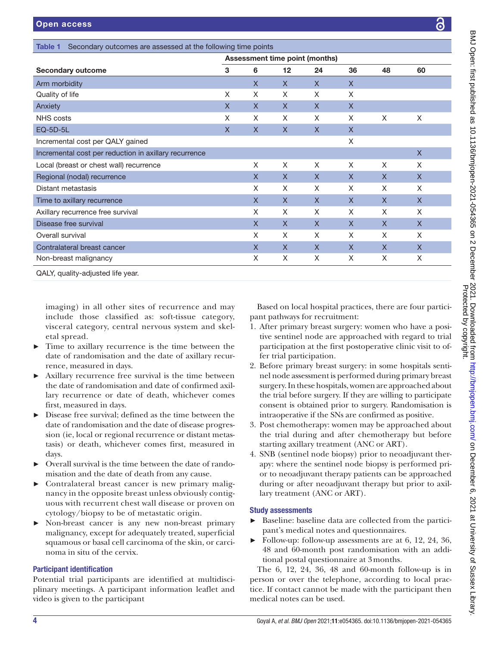<span id="page-5-0"></span>

| <b>Secondary outcome</b>                              | <b>Assessment time point (months)</b> |              |    |              |              |              |              |
|-------------------------------------------------------|---------------------------------------|--------------|----|--------------|--------------|--------------|--------------|
|                                                       | 3                                     | 6            | 12 | 24           | 36           | 48           | 60           |
| Arm morbidity                                         |                                       | X            | X  | X            | $\mathsf{X}$ |              |              |
| Quality of life                                       | X                                     | X            | X  | X            | X            |              |              |
| Anxiety                                               | X                                     | X            | X  | X            | $\mathsf{X}$ |              |              |
| NHS costs                                             | X                                     | X            | X  | X            | X            | X            | X            |
| <b>EQ-5D-5L</b>                                       | X                                     | X            | X  | $\mathsf{X}$ | X            |              |              |
| Incremental cost per QALY gained                      |                                       |              |    |              | X            |              |              |
| Incremental cost per reduction in axillary recurrence |                                       |              |    |              |              |              | $\mathsf X$  |
| Local (breast or chest wall) recurrence               |                                       | X            | X  | X            | X            | X            | X            |
| Regional (nodal) recurrence                           |                                       | $\mathsf{X}$ | X  | X            | X            | $\mathsf{X}$ | X            |
| Distant metastasis                                    |                                       | X            | X  | X            | X            | X            | X            |
| Time to axillary recurrence                           |                                       | X            | X  | X            | X            | $\mathsf{X}$ | $\sf X$      |
| Axillary recurrence free survival                     |                                       | X            | X  | X            | X            | X            | X            |
| Disease free survival                                 |                                       | X            | X  | X            | X            | X            | X            |
| Overall survival                                      |                                       | X            | X  | X            | X            | X            | X            |
| Contralateral breast cancer                           |                                       | X            | X  | X            | X            | $\mathsf{X}$ | $\mathsf{X}$ |
| Non-breast malignancy                                 |                                       | X            | Χ  | X            | X            | X            | X            |

imaging) in all other sites of recurrence and may include those classified as: soft-tissue category, visceral category, central nervous system and skeletal spread.

- Time to axillary recurrence is the time between the date of randomisation and the date of axillary recurrence, measured in days.
- ► Axillary recurrence free survival is the time between the date of randomisation and date of confirmed axillary recurrence or date of death, whichever comes first, measured in days.
- Disease free survival; defined as the time between the date of randomisation and the date of disease progression (ie, local or regional recurrence or distant metastasis) or death, whichever comes first, measured in days.
- ► Overall survival is the time between the date of randomisation and the date of death from any cause.
- ► Contralateral breast cancer is new primary malignancy in the opposite breast unless obviously contiguous with recurrent chest wall disease or proven on cytology/biopsy to be of metastatic origin.
- Non-breast cancer is any new non-breast primary malignancy, except for adequately treated, superficial squamous or basal cell carcinoma of the skin, or carcinoma in situ of the cervix.

## Participant identification

Potential trial participants are identified at multidisciplinary meetings. A participant information leaflet and video is given to the participant

Based on local hospital practices, there are four participant pathways for recruitment:

- 1. After primary breast surgery: women who have a positive sentinel node are approached with regard to trial participation at the first postoperative clinic visit to offer trial participation.
- 2. Before primary breast surgery: in some hospitals sentinel node assessment is performed during primary breast surgery. In these hospitals, women are approached about the trial before surgery. If they are willing to participate consent is obtained prior to surgery. Randomisation is intraoperative if the SNs are confirmed as positive.
- 3. Post chemotherapy: women may be approached about the trial during and after chemotherapy but before starting axillary treatment (ANC or ART).
- 4. SNB (sentinel node biopsy) prior to neoadjuvant therapy: where the sentinel node biopsy is performed prior to neoadjuvant therapy patients can be approached during or after neoadjuvant therapy but prior to axillary treatment (ANC or ART).

## Study assessments

- Baseline: baseline data are collected from the participant's medical notes and questionnaires.
- ► Follow-up: follow-up assessments are at 6, 12, 24, 36, 48 and 60-month post randomisation with an additional postal questionnaire at 3months.

The 6, 12, 24, 36, 48 and 60-month follow-up is in person or over the telephone, according to local practice. If contact cannot be made with the participant then medical notes can be used.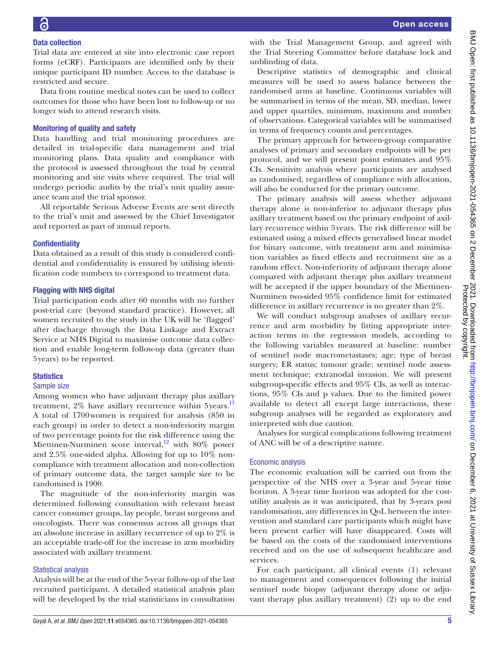#### Data collection

Trial data are entered at site into electronic case report forms (eCRF). Participants are identified only by their unique participant ID number. Access to the database is restricted and secure.

Data from routine medical notes can be used to collect outcomes for those who have been lost to follow-up or no longer wish to attend research visits.

#### Monitoring of quality and safety

Data handling and trial monitoring procedures are detailed in trial-specific data management and trial monitoring plans. Data quality and compliance with the protocol is assessed throughout the trial by central monitoring and site visits where required. The trial will undergo periodic audits by the trial's unit quality assurance team and the trial sponsor.

All reportable Serious Adverse Events are sent directly to the trial's unit and assessed by the Chief Investigator and reported as part of annual reports.

#### **Confidentiality**

Data obtained as a result of this study is considered confidential and confidentiality is ensured by utilising identification code numbers to correspond to treatment data.

#### Flagging with NHS digital

Trial participation ends after 60 months with no further post-trial care (beyond standard practice). However, all women recruited to the study in the UK will be 'flagged' after discharge through the Data Linkage and Extract Service at NHS Digital to maximise outcome data collection and enable long-term follow-up data (greater than 5years) to be reported.

#### **Statistics**

#### Sample size

Among women who have adjuvant therapy plus axillary treatment, 2% have axillary recurrence within 5 years.<sup>[11](#page-8-10)</sup> A total of 1700women is required for analysis (850 in each group) in order to detect a non-inferiority margin of two percentage points for the risk difference using the Miettinen-Nurminen score interval, $12$  with 80% power and 2.5% one-sided alpha. Allowing for up to 10% noncompliance with treatment allocation and non-collection of primary outcome data, the target sample size to be randomised is 1900.

The magnitude of the non-inferiority margin was determined following consultation with relevant breast cancer consumer groups, lay people, breast surgeons and oncologists. There was consensus across all groups that an absolute increase in axillary recurrence of up to 2% is an acceptable trade-off for the increase in arm morbidity associated with axillary treatment.

#### Statistical analysis

Analysis will be at the end of the 5-year follow-up of the last recruited participant. A detailed statistical analysis plan will be developed by the trial statisticians in consultation

with the Trial Management Group, and agreed with the Trial Steering Committee before database lock and unblinding of data.

Descriptive statistics of demographic and clinical measures will be used to assess balance between the randomised arms at baseline. Continuous variables will be summarised in terms of the mean, SD, median, lower and upper quartiles, minimum, maximum and number of observations. Categorical variables will be summarised in terms of frequency counts and percentages.

The primary approach for between-group comparative analyses of primary and secondary endpoints will be per protocol, and we will present point estimates and 95% CIs. Sensitivity analysis where participants are analysed as randomised, regardless of compliance with allocation, will also be conducted for the primary outcome.

The primary analysis will assess whether adjuvant therapy alone is non-inferior to adjuvant therapy plus axillary treatment based on the primary endpoint of axillary recurrence within 5years. The risk difference will be estimated using a mixed effects generalised linear model for binary outcome, with treatment arm and minimisation variables as fixed effects and recruitment site as a random effect. Non-inferiority of adjuvant therapy alone compared with adjuvant therapy plus axillary treatment will be accepted if the upper boundary of the Miettinen-Nurminen two-sided 95% confidence limit for estimated difference in axillary recurrence is no greater than 2%.

We will conduct subgroup analyses of axillary recurrence and arm morbidity by fitting appropriate interaction terms in the regression models, according to the following variables measured at baseline: number of sentinel node macrometastases; age; type of breast surgery; ER status; tumour grade; sentinel node assessment technique; extranodal invasion. We will present subgroup-specific effects and 95% CIs, as well as interactions, 95% CIs and p values. Due to the limited power available to detect all except large interactions, these subgroup analyses will be regarded as exploratory and interpreted with due caution.

Analyses for surgical complications following treatment of ANC will be of a descriptive nature.

#### Economic analysis

The economic evaluation will be carried out from the perspective of the NHS over a 3-year and 5-year time horizon. A 3-year time horizon was adopted for the costutility analysis as it was anticipated, that by 3-years post randomisation, any differences in QoL between the intervention and standard care participants which might have been present earlier will have disappeared. Costs will be based on the costs of the randomised interventions received and on the use of subsequent healthcare and services.

For each participant, all clinical events (1) relevant to management and consequences following the initial sentinel node biopsy (adjuvant therapy alone or adjuvant therapy plus axillary treatment) (2) up to the end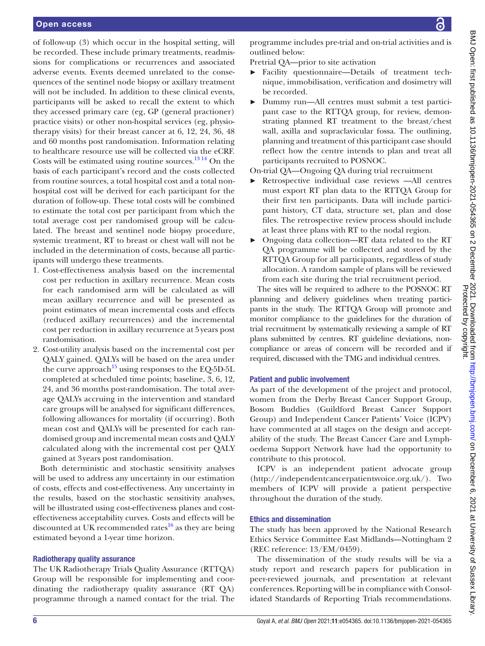of follow-up (3) which occur in the hospital setting, will be recorded. These include primary treatments, readmissions for complications or recurrences and associated adverse events. Events deemed unrelated to the consequences of the sentinel node biopsy or axillary treatment will not be included. In addition to these clinical events, participants will be asked to recall the extent to which they accessed primary care (eg, GP (general practioner) practice visits) or other non-hospital services (eg, physiotherapy visits) for their breast cancer at 6, 12, 24, 36, 48 and 60 months post randomisation. Information relating to healthcare resource use will be collected via the eCRF. Costs will be estimated using routine sources. $1314$  On the basis of each participant's record and the costs collected from routine sources, a total hospital cost and a total nonhospital cost will be derived for each participant for the duration of follow-up. These total costs will be combined to estimate the total cost per participant from which the total average cost per randomised group will be calculated. The breast and sentinel node biopsy procedure, systemic treatment, RT to breast or chest wall will not be included in the determination of costs, because all participants will undergo these treatments.

- 1. Cost-effectiveness analysis based on the incremental cost per reduction in axillary recurrence. Mean costs for each randomised arm will be calculated as will mean axillary recurrence and will be presented as point estimates of mean incremental costs and effects (reduced axillary recurrences) and the incremental cost per reduction in axillary recurrence at 5years post randomisation.
- 2. Cost-utility analysis based on the incremental cost per QALY gained. QALYs will be based on the area under the curve approach<sup>15</sup> using responses to the EQ-5D-5L completed at scheduled time points; baseline, 3, 6, 12, 24, and 36 months post-randomisation. The total average QALYs accruing in the intervention and standard care groups will be analysed for significant differences, following allowances for mortality (if occurring). Both mean cost and QALYs will be presented for each randomised group and incremental mean costs and QALY calculated along with the incremental cost per QALY gained at 3years post randomisation.

Both deterministic and stochastic sensitivity analyses will be used to address any uncertainty in our estimation of costs, effects and cost-effectiveness. Any uncertainty in the results, based on the stochastic sensitivity analyses, will be illustrated using cost-effectiveness planes and costeffectiveness acceptability curves. Costs and effects will be discounted at UK recommended rates $^{16}$  as they are being estimated beyond a 1-year time horizon.

#### Radiotherapy quality assurance

The UK Radiotherapy Trials Quality Assurance (RTTQA) Group will be responsible for implementing and coordinating the radiotherapy quality assurance (RT QA) programme through a named contact for the trial. The

programme includes pre-trial and on-trial activities and is outlined below:

Pretrial QA—prior to site activation

- ► Facility questionnaire—Details of treatment technique, immobilisation, verification and dosimetry will be recorded.
- ► Dummy run—All centres must submit a test participant case to the RTTQA group, for review, demonstrating planned RT treatment to the breast/chest wall, axilla and supraclavicular fossa. The outlining, planning and treatment of this participant case should reflect how the centre intends to plan and treat all participants recruited to POSNOC.

On-trial QA—Ongoing QA during trial recruitment

- Retrospective individual case reviews —All centres must export RT plan data to the RTTQA Group for their first ten participants. Data will include participant history, CT data, structure set, plan and dose files. The retrospective review process should include at least three plans with RT to the nodal region.
- ► Ongoing data collection—RT data related to the RT QA programme will be collected and stored by the RTTQA Group for all participants, regardless of study allocation. A random sample of plans will be reviewed from each site during the trial recruitment period.

The sites will be required to adhere to the POSNOC RT planning and delivery guidelines when treating participants in the study. The RTTQA Group will promote and monitor compliance to the guidelines for the duration of trial recruitment by systematically reviewing a sample of RT plans submitted by centres. RT guideline deviations, noncompliance or areas of concern will be recorded and if required, discussed with the TMG and individual centres.

#### Patient and public involvement

As part of the development of the project and protocol, women from the Derby Breast Cancer Support Group, Bosom Buddies (Guildford Breast Cancer Support Group) and Independent Cancer Patients' Voice (ICPV) have commented at all stages on the design and acceptability of the study. The Breast Cancer Care and Lymphoedema Support Network have had the opportunity to contribute to this protocol.

ICPV is an independent patient advocate group [\(http://independentcancerpatientsvoice.org.uk/](http://independentcancerpatientsvoice.org.uk/)). Two members of ICPV will provide a patient perspective throughout the duration of the study.

#### Ethics and dissemination

The study has been approved by the National Research Ethics Service Committee East Midlands—Nottingham 2 (REC reference: 13/EM/0459).

The dissemination of the study results will be via a study report and research papers for publication in peer-reviewed journals, and presentation at relevant conferences. Reporting will be in compliance with Consolidated Standards of Reporting Trials recommendations.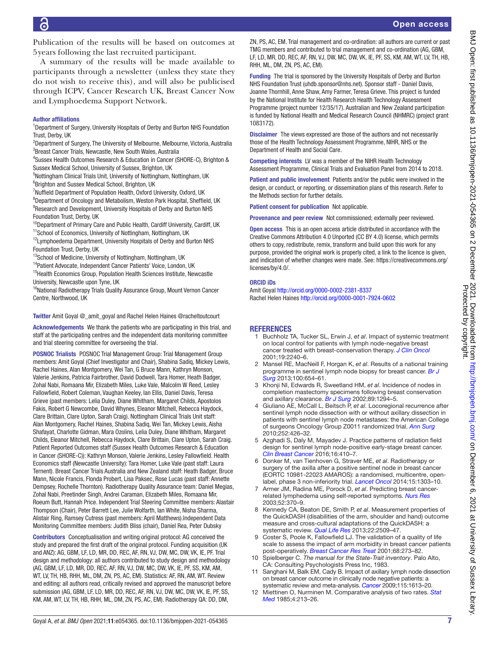Publication of the results will be based on outcomes at 5years following the last recruited participant.

A summary of the results will be made available to participants through a newsletter (unless they state they do not wish to receive this), and will also be publicised through ICPV, Cancer Research UK, Breast Cancer Now and Lymphoedema Support Network.

#### Author affiliations

<sup>1</sup>Department of Surgery, University Hospitals of Derby and Burton NHS Foundation Trust, Derby, UK

<sup>2</sup>Department of Surgery, The University of Melbourne, Melbourne, Victoria, Australia <sup>3</sup>Breast Cancer Trials, Newcastle, New South Wales, Australia

4 Sussex Health Outcomes Research & Education in Cancer (SHORE-C), Brighton & Sussex Medical School, University of Sussex, Brighton, UK

<sup>5</sup>Nottingham Clinical Trials Unit, University of Nottingham, Nottingham, UK 6 Brighton and Sussex Medical School, Brighton, UK

<sup>7</sup>Nuffield Department of Population Health, Oxford University, Oxford, UK <sup>8</sup>Department of Oncology and Metabolism, Weston Park Hospital, Sheffield, UK <sup>9</sup>Research and Development, University Hospitals of Derby and Burton NHS Foundation Trust, Derby, UK

<sup>10</sup>Department of Primary Care and Public Health, Cardiff University, Cardiff, UK

<sup>11</sup>School of Economics, University of Nottingham, Nottingham, UK

<sup>12</sup>Lymphoedema Department, University Hospitals of Derby and Burton NHS Foundation Trust, Derby, UK

<sup>13</sup>School of Medicine, University of Nottingham, Nottingham, UK

14Patient Advocate, Independent Cancer Patients' Voice, London, UK

<sup>15</sup> Health Economics Group, Population Health Sciences Institute, Newcastle University, Newcastle upon Tyne, UK

<sup>16</sup>National Radiotherapy Trials Quality Assurance Group, Mount Vernon Cancer Centre, Northwood, UK

Twitter Amit Goyal [@\\_amit\\_goyal](https://twitter.com/_amit_goyal) and Rachel Helen Haines [@racheltoutcourt](https://twitter.com/racheltoutcourt)

Acknowledgements We thank the patients who are participating in this trial, and staff at the participating centres and the independent data monitoring committee and trial steering committee for overseeing the trial.

POSNOC Trialists POSNOC Trial Management Group: Trial Management Group members: Amit Goyal (Chief Investigator and Chair), Shabina Sadiq, Mickey Lewis, Rachel Haines, Alan Montgomery, Wei Tan, G Bruce Mann, Kathryn Monson, Valerie Jenkins, Patricia Fairbrother, David Dodwell, Tara Homer, Heath Badger, Zohal Nabi, Romaana Mir, Elizabeth Miles, Luke Vale, Malcolm W Reed, Lesley Fallowfield, Robert Coleman, Vaughan Keeley, Ian Ellis, Daniel Davis, Teresa Grieve (past members: Lelia Duley, Diane Whitham, Margaret Childs, Apostolos Fakis, Robert G Newcombe, David Whynes, Eleanor Mitchell, Rebecca Haydock, Clare Brittain, Clare Upton, Sarah Craig). Nottingham Clinical Trials Unit staff: Alan Montgomery, Rachel Haines, Shabina Sadiq, Wei Tan, Mickey Lewis, Aisha Shafayat, Charlotte Gidman, Mara Ozolins, Lelia Duley, Diane Whitham, Margaret Childs, Eleanor Mitchell, Rebecca Haydock, Clare Brittain, Clare Upton, Sarah Craig. Patient Reported Outcomes staff (Sussex Health Outcomes Research & Education in Cancer (SHORE-C)): Kathryn Monson, Valerie Jenkins, Lesley Fallowfield. Health Economics staff (Newcastle University): Tara Homer, Luke Vale (past staff: Laura Ternent). Breast Cancer Trials Australia and New Zealand staff: Heath Badger, Bruce Mann, Nicole Francis, Flonda Probert, Lisa Paksec, Rose Lucas (past staff: Annette Dempsey, Rochelle Thornton). Radiotherapy Quality Assurance team: Daniel Megias, Zohal Nabi, Preetinder Singh, Andrei Caraman, Elizabeth Miles, Romaana Mir, Roeum Butt, Hannah Price. Independent Trial Steering Committee members: Alastair Thompson (Chair), Peter Barrett Lee, Julie Wolfarth, Ian White, Nisha Sharma, Alistair Ring, Ramsey Cutress (past members: April Matthews).Independent Data Monitoring Committee members: Judith Bliss (chair), Daniel Rea, Peter Dubsky

Contributors Conceptualisation and writing original protocol: AG conceived the study and prepared the first draft of the original protocol. Funding acquisition (UK and ANZ): AG, GBM, LF, LD, MR, DD, REC, AF, RN, VJ, DW, MC, DW, VK, IE, PF. Trial design and methodology: all authors contributed to study design and methodology (AG, GBM, LF, LD, MR, DD, REC, AF, RN, VJ, DW, MC, DW, VK, IE, PF, SS, KM, AM, WT, LV, TH, HB, RHH, ML, DM, ZN, PS, AC, EM). Statistics: AF, RN, AM, WT. Review and editing: all authors read, critically revised and approved the manuscript before submission (AG, GBM, LF, LD, MR, DD, REC, AF, RN, VJ, DW, MC, DW, VK, IE, PF, SS, KM, AM, WT, LV, TH, HB, RHH, ML, DM, ZN, PS, AC, EM). Radiotherapy QA: DD, DM,

ZN, PS, AC, EM. Trial management and co-ordination: all authors are current or past TMG members and contributed to trial management and co-ordination (AG, GBM, LF, LD, MR, DD, REC, AF, RN, VJ, DW, MC, DW, VK, IE, PF, SS, KM, AM, WT, LV, TH, HB, RHH, ML, DM, ZN, PS, AC, EM).

Funding The trial is sponsored by the University Hospitals of Derby and Burton NHS Foundation Trust (uhdb.sponsor@nhs.net). Sponsor staff - Daniel Davis, Joanne Thornhill, Anne Shaw, Amy Farmer, Teresa Grieve. This project is funded by the National Institute for Health Research Health Technology Assessment Programme (project number 12/35/17). Australian and New Zealand participation is funded by National Health and Medical Research Council (NHMRC) (project grant 1083172).

Disclaimer The views expressed are those of the authors and not necessarily those of the Health Technology Assessment Programme, NIHR, NHS or the Department of Health and Social Care.

Competing interests LV was a member of the NIHR Health Technology Assessment Programme, Clinical Trials and Evaluation Panel from 2014 to 2018.

Patient and public involvement Patients and/or the public were involved in the design, or conduct, or reporting, or dissemination plans of this research. Refer to the Methods section for further details.

Patient consent for publication Not applicable.

Provenance and peer review Not commissioned; externally peer reviewed.

Open access This is an open access article distributed in accordance with the Creative Commons Attribution 4.0 Unported (CC BY 4.0) license, which permits others to copy, redistribute, remix, transform and build upon this work for any purpose, provided the original work is properly cited, a link to the licence is given, and indication of whether changes were made. See: [https://creativecommons.org/](https://creativecommons.org/licenses/by/4.0/) [licenses/by/4.0/](https://creativecommons.org/licenses/by/4.0/).

#### ORCID iDs

Amit Goyal <http://orcid.org/0000-0002-2381-8337> Rachel Helen Haines<http://orcid.org/0000-0001-7924-0602>

#### **REFERENCES**

- <span id="page-8-0"></span>1 Buchholz TA, Tucker SL, Erwin J, *et al*. Impact of systemic treatment on local control for patients with lymph node-negative breast cancer treated with breast-conservation therapy. *[J Clin Oncol](http://dx.doi.org/10.1200/JCO.2001.19.8.2240)* 2001;19:2240–6.
- <span id="page-8-1"></span>2 Mansel RE, MacNeill F, Horgan K, *et al*. Results of a national training programme in sentinel lymph node biopsy for breast cancer. *[Br J](http://dx.doi.org/10.1002/bjs.9058)  [Surg](http://dx.doi.org/10.1002/bjs.9058)* 2013;100:654–61.
- <span id="page-8-2"></span>3 Khonji NI, Edwards R, Sweetland HM, *et al*. Incidence of nodes in completion mastectomy specimens following breast conservation and axillary clearance. *[Br J Surg](http://dx.doi.org/10.1046/j.1365-2168.2002.02203.x)* 2002;89:1294–5.
- <span id="page-8-3"></span>4 Giuliano AE, McCall L, Beitsch P, *et al*. Locoregional recurrence after sentinel lymph node dissection with or without axillary dissection in patients with sentinel lymph node metastases: the American College of surgeons Oncology Group Z0011 randomized trial. *[Ann Surg](http://dx.doi.org/10.1097/SLA.0b013e3181f08f32)* 2010;252:426–32.
- <span id="page-8-4"></span>5 Azghadi S, Daly M, Mayadev J. Practice patterns of radiation field design for sentinel lymph node-positive early-stage breast cancer. *[Clin Breast Cancer](http://dx.doi.org/10.1016/j.clbc.2016.05.009)* 2016;16:410–7.
- <span id="page-8-5"></span>6 Donker M, van Tienhoven G, Straver ME, *et al*. Radiotherapy or surgery of the axilla after a positive sentinel node in breast cancer (EORTC 10981-22023 AMAROS): a randomised, multicentre, openlabel, phase 3 non-inferiority trial. *[Lancet Oncol](http://dx.doi.org/10.1016/S1470-2045(14)70460-7)* 2014;15:1303–10.
- <span id="page-8-6"></span>7 Armer JM, Radina ME, Porock D, *et al*. Predicting breast cancerrelated lymphedema using self-reported symptoms. *[Nurs Res](http://dx.doi.org/10.1097/00006199-200311000-00004)* 2003;52:370–9.
- <span id="page-8-7"></span>8 Kennedy CA, Beaton DE, Smith P, *et al*. Measurement properties of the QuickDASH (disabilities of the arm, shoulder and hand) outcome measure and cross-cultural adaptations of the QuickDASH: a systematic review. *[Qual Life Res](http://dx.doi.org/10.1007/s11136-013-0362-4)* 2013;22:2509–47.
- <span id="page-8-8"></span>9 Coster S, Poole K, Fallowfield LJ. The validation of a quality of life scale to assess the impact of arm morbidity in breast cancer patients post-operatively. *[Breast Cancer Res Treat](http://dx.doi.org/10.1023/A:1012278023233)* 2001;68:273–82.
- <span id="page-8-9"></span>10 Spielberger C. *The manual for the State-Trait inventory*. Palo Alto, CA: Consulting Psychologists Press Inc, 1983.
- <span id="page-8-10"></span>11 Sanghani M, Balk EM, Cady B. Impact of axillary lymph node dissection on breast cancer outcome in clinically node negative patients: a systematic review and meta-analysis. *[Cancer](http://dx.doi.org/10.1002/cncr.24174)* 2009;115:1613–20.
- <span id="page-8-11"></span>12 Miettinen O, Nurminen M. Comparative analysis of two rates. *[Stat](http://dx.doi.org/10.1002/sim.4780040211)  [Med](http://dx.doi.org/10.1002/sim.4780040211)* 1985;4:213–26.